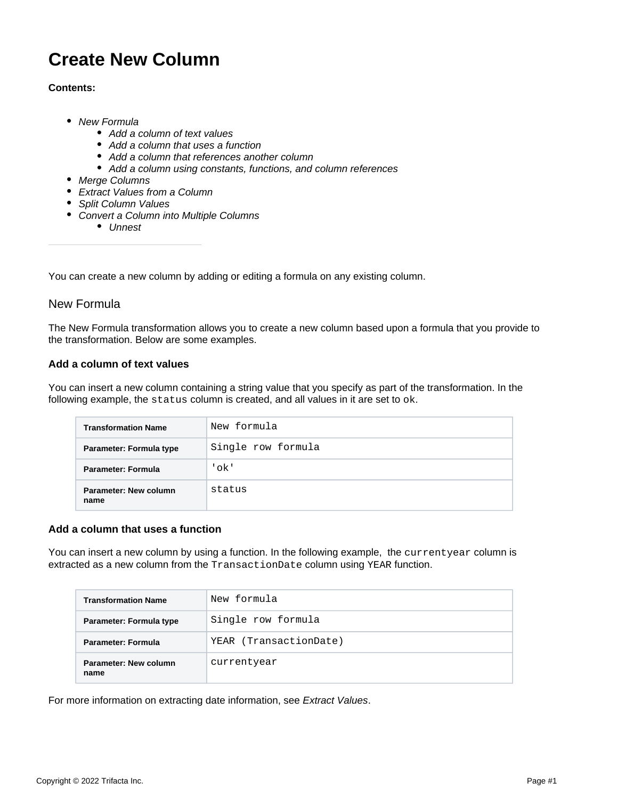# **Create New Column**

#### **Contents:**

- [New Formula](#page-0-0)
	- [Add a column of text values](#page-0-1)
	- [Add a column that uses a function](#page-0-2)
	- [Add a column that references another column](#page-1-0)
	- [Add a column using constants, functions, and column references](#page-1-1)
- [Merge Columns](#page-1-2)
- [Extract Values from a Column](#page-1-3)
- [Split Column Values](#page-1-4)
- [Convert a Column into Multiple Columns](#page-1-5)
	- [Unnest](#page-1-6)

You can create a new column by adding or editing a formula on any existing column.

### <span id="page-0-0"></span>New Formula

The New Formula transformation allows you to create a new column based upon a formula that you provide to the transformation. Below are some examples.

#### <span id="page-0-1"></span>**Add a column of text values**

You can insert a new column containing a string value that you specify as part of the transformation. In the following example, the status column is created, and all values in it are set to ok.

| <b>Transformation Name</b>    | New formula        |
|-------------------------------|--------------------|
| Parameter: Formula type       | Single row formula |
| Parameter: Formula            | 'ok'               |
| Parameter: New column<br>name | status             |

#### <span id="page-0-2"></span>**Add a column that uses a function**

You can insert a new column by using a function. In the following example, the currentyear column is extracted as a new column from the TransactionDate column using YEAR function.

| <b>Transformation Name</b>    | New formula            |
|-------------------------------|------------------------|
| Parameter: Formula type       | Single row formula     |
| Parameter: Formula            | YEAR (TransactionDate) |
| Parameter: New column<br>name | currentyear            |

For more information on extracting date information, see [Extract Values](https://docs.trifacta.com/display/SS/Extract+Values).